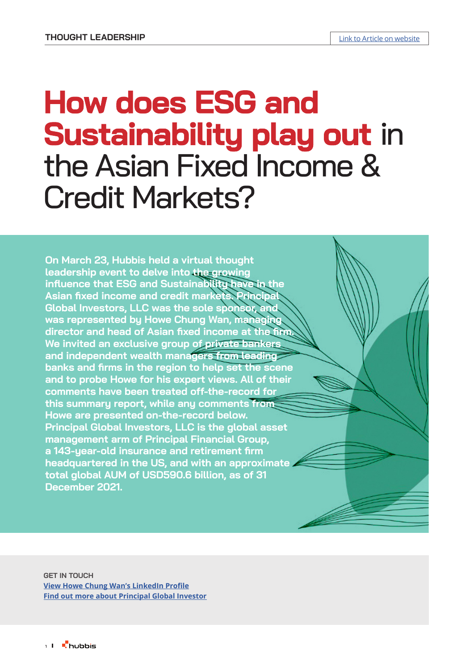# **How does ESG and Sustainability play out in** the Asian Fixed Income & Credit Markets?

**On March 23, Hubbis held a virtual thought leadership event to delve into the growing influence that ESG and Sustainability have in the Asian fixed income and credit markets. Principal Global Investors, LLC was the sole sponsor, and was represented by Howe Chung Wan, managing director and head of Asian fixed income at the firm. We invited an exclusive group of private bankers and independent wealth managers from leading banks and firms in the region to help set the scene and to probe Howe for his expert views. All of their comments have been treated off-the-record for this summary report, while any comments from Howe are presented on-the-record below. Principal Global Investors, LLC is the global asset management arm of Principal Financial Group, a 143-year-old insurance and retirement firm headquartered in the US, and with an approximate total global AUM of USD590.6 billion, as of 31 December 2021.** 

**GET IN TOUCH [View Howe Chung Wan's LinkedIn Profile](https://www.linkedin.com/in/howe-chung-wan-332745?lipi=urn%3Ali%3Apage%3Ad_flagship3_profile_view_base_contact_details%3BRQHk1khTQpO9mtuEaqMDlQ%3D%3D) [Find out more about](https://www.principalglobal.com/) [Principal Global Investor](https://www.principalglobal.com/)**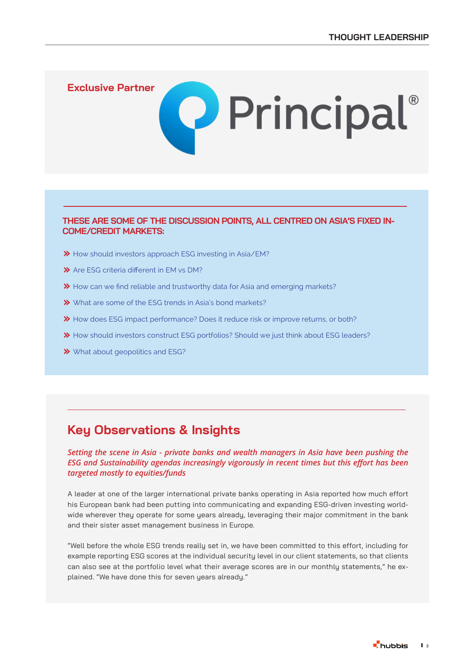**[Exclusive Partner](https://www.principalglobal.com/)**

#### **THESE ARE SOME OF THE DISCUSSION POINTS, ALL CENTRED ON ASIA'S FIXED IN-COME/CREDIT MARKETS:**

**Q** Principal®

- How should investors approach ESG investing in Asia/EM?
- $\gg$  Are ESG criteria different in EM vs DM?
- How can we find reliable and trustworthy data for Asia and emerging markets?
- What are some of the ESG trends in Asia's bond markets?
- **→** How does ESG impact performance? Does it reduce risk or improve returns, or both?
- How should investors construct ESG portfolios? Should we just think about ESG leaders?
- What about geopolitics and ESG?

# **Key Observations & Insights**

#### *Setting the scene in Asia - private banks and wealth managers in Asia have been pushing the ESG and Sustainability agendas increasingly vigorously in recent times but this effort has been targeted mostly to equities/funds*

A leader at one of the larger international private banks operating in Asia reported how much effort his European bank had been putting into communicating and expanding ESG-driven investing worldwide wherever they operate for some years already, leveraging their major commitment in the bank and their sister asset management business in Europe.

"Well before the whole ESG trends really set in, we have been committed to this effort, including for example reporting ESG scores at the individual security level in our client statements, so that clients can also see at the portfolio level what their average scores are in our monthly statements," he explained. "We have done this for seven years already."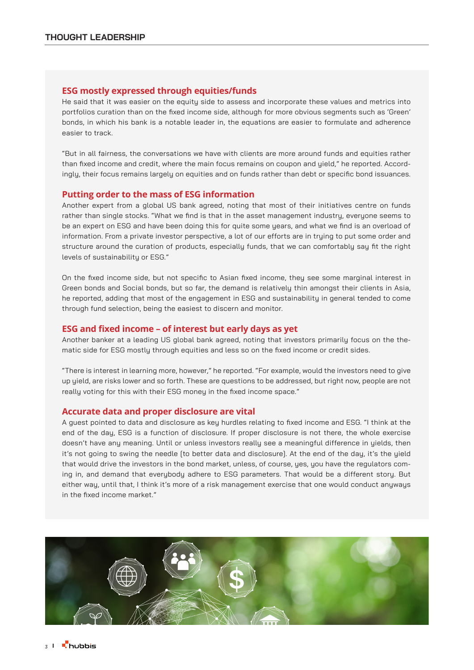#### **ESG mostly expressed through equities/funds**

He said that it was easier on the equity side to assess and incorporate these values and metrics into portfolios curation than on the fixed income side, although for more obvious segments such as 'Green' bonds, in which his bank is a notable leader in, the equations are easier to formulate and adherence easier to track.

"But in all fairness, the conversations we have with clients are more around funds and equities rather than fixed income and credit, where the main focus remains on coupon and yield," he reported. Accordingly, their focus remains largely on equities and on funds rather than debt or specific bond issuances.

#### **Putting order to the mass of ESG information**

Another expert from a global US bank agreed, noting that most of their initiatives centre on funds rather than single stocks. "What we find is that in the asset management industry, everyone seems to be an expert on ESG and have been doing this for quite some years, and what we find is an overload of information. From a private investor perspective, a lot of our efforts are in trying to put some order and structure around the curation of products, especially funds, that we can comfortably say fit the right levels of sustainability or ESG."

On the fixed income side, but not specific to Asian fixed income, they see some marginal interest in Green bonds and Social bonds, but so far, the demand is relatively thin amongst their clients in Asia, he reported, adding that most of the engagement in ESG and sustainability in general tended to come through fund selection, being the easiest to discern and monitor.

#### **ESG and fixed income – of interest but early days as yet**

Another banker at a leading US global bank agreed, noting that investors primarily focus on the thematic side for ESG mostly through equities and less so on the fixed income or credit sides.

"There is interest in learning more, however," he reported. "For example, would the investors need to give up yield, are risks lower and so forth. These are questions to be addressed, but right now, people are not really voting for this with their ESG money in the fixed income space."

#### **Accurate data and proper disclosure are vital**

A guest pointed to data and disclosure as key hurdles relating to fixed income and ESG. "I think at the end of the day, ESG is a function of disclosure. If proper disclosure is not there, the whole exercise doesn't have any meaning. Until or unless investors really see a meaningful difference in yields, then it's not going to swing the needle [to better data and disclosure]. At the end of the day, it's the yield that would drive the investors in the bond market, unless, of course, yes, you have the regulators coming in, and demand that everybody adhere to ESG parameters. That would be a different story. But either way, until that, I think it's more of a risk management exercise that one would conduct anyways in the fixed income market."

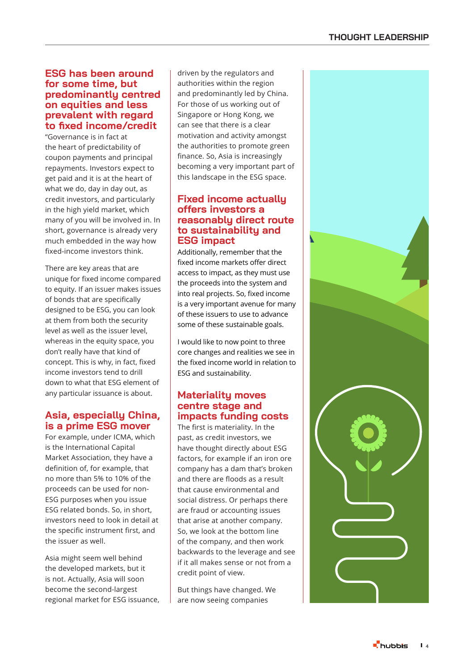#### **ESG has been around for some time, but predominantly centred on equities and less prevalent with regard to fixed income/credit**

"Governance is in fact at the heart of predictability of coupon payments and principal repayments. Investors expect to get paid and it is at the heart of what we do, day in day out, as credit investors, and particularly in the high yield market, which many of you will be involved in. In short, governance is already very much embedded in the way how fixed-income investors think.

There are key areas that are unique for fixed income compared to equity. If an issuer makes issues of bonds that are specifically designed to be ESG, you can look at them from both the security level as well as the issuer level, whereas in the equity space, you don't really have that kind of concept. This is why, in fact, fixed income investors tend to drill down to what that ESG element of any particular issuance is about.

# **Asia, especially China, is a prime ESG mover**

For example, under ICMA, which is the International Capital Market Association, they have a definition of, for example, that no more than 5% to 10% of the proceeds can be used for non-ESG purposes when you issue ESG related bonds. So, in short, investors need to look in detail at the specific instrument first, and the issuer as well.

Asia might seem well behind the developed markets, but it is not. Actually, Asia will soon become the second-largest regional market for ESG issuance,

driven by the regulators and authorities within the region and predominantly led by China. For those of us working out of Singapore or Hong Kong, we can see that there is a clear motivation and activity amongst the authorities to promote green finance. So, Asia is increasingly becoming a very important part of this landscape in the ESG space.

## **Fixed income actually offers investors a reasonably direct route to sustainability and ESG impact**

Additionally, remember that the fixed income markets offer direct access to impact, as they must use the proceeds into the system and into real projects. So, fixed income is a very important avenue for many of these issuers to use to advance some of these sustainable goals.

I would like to now point to three core changes and realities we see in the fixed income world in relation to ESG and sustainability.

# **Materiality moves centre stage and impacts funding costs**

The first is materiality. In the past, as credit investors, we have thought directly about ESG factors, for example if an iron ore company has a dam that's broken and there are floods as a result that cause environmental and social distress. Or perhaps there are fraud or accounting issues that arise at another company. So, we look at the bottom line of the company, and then work backwards to the leverage and see if it all makes sense or not from a credit point of view.

But things have changed. We are now seeing companies

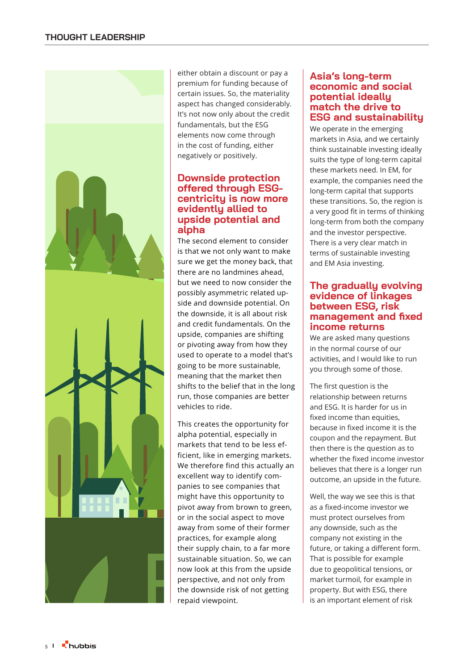

either obtain a discount or pay a premium for funding because of certain issues. So, the materiality aspect has changed considerably. It's not now only about the credit fundamentals, but the ESG elements now come through in the cost of funding, either negatively or positively.

#### **Downside protection offered through ESGcentricity is now more evidently allied to upside potential and alpha**

The second element to consider is that we not only want to make sure we get the money back, that there are no landmines ahead, but we need to now consider the possibly asymmetric related up side and downside potential. On the downside, it is all about risk and credit fundamentals. On the upside, companies are shifting or pivoting away from how they used to operate to a model that's going to be more sustainable, meaning that the market then shifts to the belief that in the long run, those companies are better vehicles to ride.

This creates the opportunity for alpha potential, especially in markets that tend to be less ef ficient, like in emerging markets. We therefore find this actually an excellent way to identify com panies to see companies that might have this opportunity to pivot away from brown to green, or in the social aspect to move away from some of their former practices, for example along their supply chain, to a far more sustainable situation. So, we can now look at this from the upside perspective, and not only from the downside risk of not getting repaid viewpoint.

## **Asia's long-term economic and social potential ideally match the drive to ESG and sustainability**

We operate in the emerging markets in Asia, and we certainly think sustainable investing ideally suits the type of long-term capital these markets need. In EM, for example, the companies need the long-term capital that supports these transitions. So, the region is a very good fit in terms of thinking long-term from both the company and the investor perspective. There is a very clear match in terms of sustainable investing and EM Asia investing.

## **The gradually evolving evidence of linkages between ESG, risk management and fixed income returns**

We are asked many questions in the normal course of our activities, and I would like to run you through some of those.

The first question is the relationship between returns and ESG. It is harder for us in fixed income than equities, because in fixed income it is the coupon and the repayment. But then there is the question as to whether the fixed income investor believes that there is a longer run outcome, an upside in the future.

Well, the way we see this is that as a fixed-income investor we must protect ourselves from any downside, such as the company not existing in the future, or taking a different form. That is possible for example due to geopolitical tensions, or market turmoil, for example in property. But with ESG, there is an important element of risk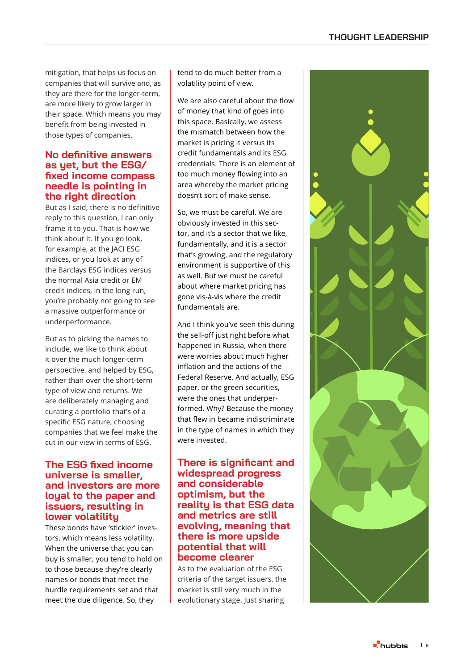## **THOUGHT LEADERSHIP**

mitigation, that helps us focus on companies that will survive and, as they are there for the longer-term, are more likely to grow larger in their space. Which means you may benefit from being invested in those types of companies.

#### **No definitive answers as yet, but the ESG/ fixed income compass needle is pointing in the right direction**

But as I said, there is no definitive reply to this question, I can only frame it to you. That is how we think about it. If you go look, for example, at the JACI ESG indices, or you look at any of the Barclays ESG indices versus the normal Asia credit or EM credit indices, in the long run, you're probably not going to see a massive outperformance or underperformance.

But as to picking the names to include, we like to think about it over the much longer-term perspective, and helped by ESG, rather than over the short-term type of view and returns. We are deliberately managing and curating a portfolio that's of a specific ESG nature, choosing companies that we feel make the cut in our view in terms of ESG.

#### **The ESG fixed income universe is smaller, and investors are more loyal to the paper and issuers, resulting in lower volatility**

These bonds have 'stickier' inves tors, which means less volatility. When the universe that you can buy is smaller, you tend to hold on to those because they're clearly names or bonds that meet the hurdle requirements set and that meet the due diligence. So, they

tend to do much better from a volatility point of view.

We are also careful about the flow of money that kind of goes into this space. Basically, we assess the mismatch between how the market is pricing it versus its credit fundamentals and its ESG credentials. There is an element of too much money flowing into an area whereby the market pricing doesn't sort of make sense.

So, we must be careful. We are obviously invested in this sec tor, and it's a sector that we like, fundamentally, and it is a sector that's growing, and the regulatory environment is supportive of this as well. But we must be careful about where market pricing has gone vis-à-vis where the credit fundamentals are.

And I think you've seen this during the sell-off just right before what happened in Russia, when there were worries about much higher inflation and the actions of the Federal Reserve. And actually, ESG paper, or the green securities, were the ones that underper formed. Why? Because the money that flew in became indiscriminate in the type of names in which they were invested.

#### **There is significant and widespread progress and considerable optimism, but the reality is that ESG data and metrics are still evolving, meaning that there is more upside potential that will become clearer**

As to the evaluation of the ESG criteria of the target issuers, the market is still very much in the evolutionary stage. Just sharing

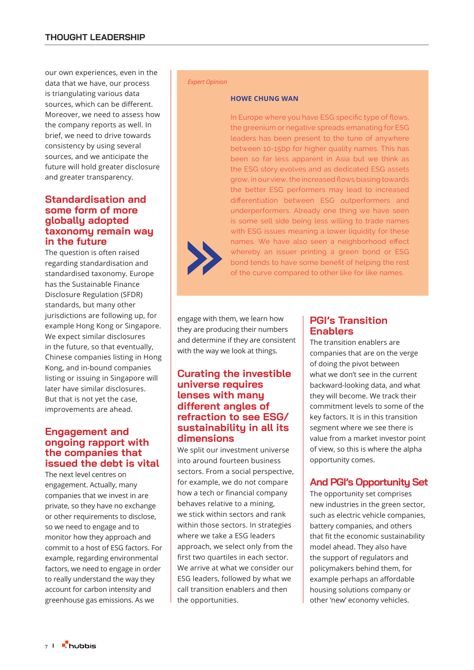our own experiences, even in the data that we have, our process is triangulating various data sources, which can be different. Moreover, we need to assess how the company reports as well. In brief, we need to drive towards consistency by using several sources, and we anticipate the future will hold greater disclosure and greater transparency.

## **Standardisation and some form of more globally adopted taxonomy remain way in the future**

The question is often raised regarding standardisation and standardised taxonomy. Europe has the Sustainable Finance Disclosure Regulation (SFDR) standards, but many other jurisdictions are following up, for example Hong Kong or Singapore. We expect similar disclosures in the future, so that eventually, Chinese companies listing in Hong Kong, and in-bound companies listing or issuing in Singapore will later have similar disclosures. But that is not yet the case, improvements are ahead.

## **Engagement and ongoing rapport with the companies that issued the debt is vital**

The next level centres on engagement. Actually, many companies that we invest in are private, so they have no exchange or other requirements to disclose, so we need to engage and to monitor how they approach and commit to a host of ESG factors. For example, regarding environmental factors, we need to engage in order to really understand the way they account for carbon intensity and greenhouse gas emissions. As we

#### *Expert Opinion*

#### **HOWE CHUNG WAN**

In Europe where you have ESG specific type of flows, the greenium or negative spreads emanating for ESG leaders has been present to the tune of anywhere between 10-15bp for higher quality names. This has been so far less apparent in Asia but we think as the ESG story evolves and as dedicated ESG assets grow, in our view, the increased flows biasing towards the better ESG performers may lead to increased differentiation between ESG outperformers and underperformers. Already one thing we have seen is some sell side being less willing to trade names with ESG issues meaning a lower liquidity for these names. We have also seen a neighborhood effect whereby an issuer printing a green bond or ESG bond tends to have some benefit of helping the rest of the curve compared to other like for like names.

engage with them, we learn how they are producing their numbers and determine if they are consistent with the way we look at things.

#### **Curating the investible universe requires lenses with many different angles of refraction to see ESG/ sustainability in all its dimensions**

We split our investment universe into around fourteen business sectors. From a social perspective, for example, we do not compare how a tech or financial company behaves relative to a mining, we stick within sectors and rank within those sectors. In strategies where we take a ESG leaders approach, we select only from the first two quartiles in each sector. We arrive at what we consider our ESG leaders, followed by what we call transition enablers and then the opportunities.

# **PGI's Transition Enablers**

The transition enablers are companies that are on the verge of doing the pivot between what we don't see in the current backward-looking data, and what they will become. We track their commitment levels to some of the key factors. It is in this transition segment where we see there is value from a market investor point of view, so this is where the alpha opportunity comes.

# **And PGI's Opportunity Set**

The opportunity set comprises new industries in the green sector, such as electric vehicle companies, battery companies, and others that fit the economic sustainability model ahead. They also have the support of regulators and policymakers behind them, for example perhaps an affordable housing solutions company or other 'new' economy vehicles.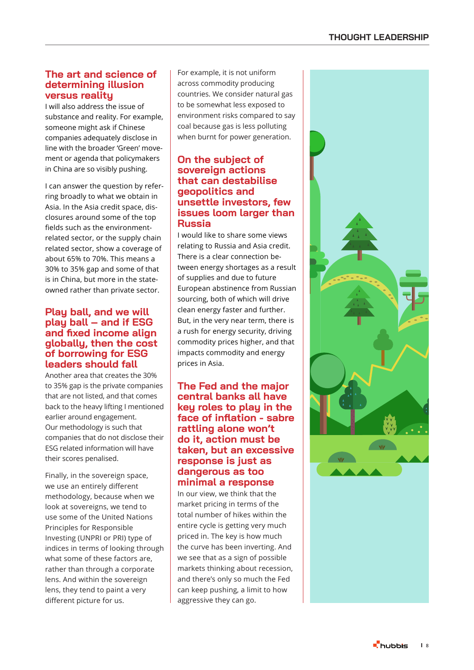## **The art and science of determining illusion versus reality**

I will also address the issue of substance and reality. For example, someone might ask if Chinese companies adequately disclose in line with the broader 'Green' move ment or agenda that policymakers in China are so visibly pushing.

I can answer the question by refer ring broadly to what we obtain in Asia. In the Asia credit space, dis closures around some of the top fields such as the environmentrelated sector, or the supply chain related sector, show a coverage of about 65% to 70%. This means a 30% to 35% gap and some of that is in China, but more in the stateowned rather than private sector.

#### **Play ball, and we will play ball – and if ESG and fixed income align globally, then the cost of borrowing for ESG leaders should fall**

Another area that creates the 30% to 35% gap is the private companies that are not listed, and that comes back to the heavy lifting I mentioned earlier around engagement. Our methodology is such that companies that do not disclose their ESG related information will have their scores penalised.

Finally, in the sovereign space, we use an entirely different methodology, because when we look at sovereigns, we tend to use some of the United Nations Principles for Responsible Investing (UNPRI or PRI) type of indices in terms of looking through what some of these factors are, rather than through a corporate lens. And within the sovereign lens, they tend to paint a very different picture for us.

For example, it is not uniform across commodity producing countries. We consider natural gas to be somewhat less exposed to environment risks compared to say coal because gas is less polluting when burnt for power generation.

# **On the subject of sovereign actions that can destabilise geopolitics and unsettle investors, few issues loom larger than Russia**

I would like to share some views relating to Russia and Asia credit. There is a clear connection be tween energy shortages as a result of supplies and due to future European abstinence from Russian sourcing, both of which will drive clean energy faster and further. But, in the very near term, there is a rush for energy security, driving commodity prices higher, and that impacts commodity and energy prices in Asia.

## **The Fed and the major central banks all have key roles to play in the face of inflation - sabre rattling alone won't do it, action must be taken, but an excessive response is just as dangerous as too minimal a response**

In our view, we think that the market pricing in terms of the total number of hikes within the entire cycle is getting very much priced in. The key is how much the curve has been inverting. And we see that as a sign of possible markets thinking about recession, and there's only so much the Fed can keep pushing, a limit to how aggressive they can go.